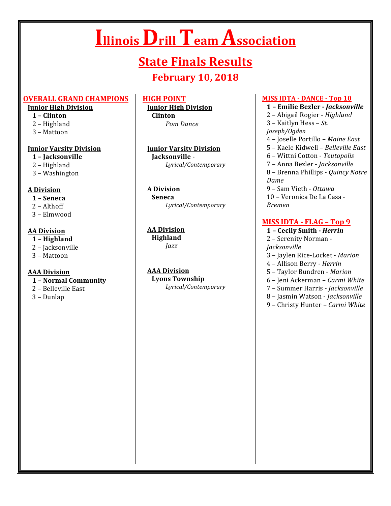# **Illinois Drill Team Association**

# **State Finals Results**

# **February 10, 2018**

#### **OVERALL GRAND CHAMPIONS**

#### **Junior High Division**

- **1 – Clinton**
- 2 Highland
- 3 – Mattoon

#### **Junior Varsity Division**

- **1 – Jacksonville**
- 2 Highland
- 3 – Washington

# **A Division**

- **1 – Seneca**
- $2 Althoff$
- 3 – Elmwood

#### **AA Division**

- **1 – Highland**
- 2 Jacksonville
- 3 – Mattoon

#### **AAA Division**

- **1 – Normal Community**
- 2 Belleville East
- 3 – Dunlap

# **HIGH POINT**

**Junior High Division Clinton**  *Pom Dance*

**Junior Varsity Division Iacksonville** -*Lyrical/Contemporary*

#### **A Division Seneca** *Lyrical/Contemporary*

**AA Division Highland** *Jazz*

**AAA Division Lyons Township** *Lyrical/Contemporary*

#### **MISS IDTA - DANCE - Top 10**

**1 – Emilie Bezler -** *Jacksonville* 2 – Abigail Rogier - *Highland* 3 – Kaitlyn Hess – St. *Joseph/Ogden* 4 – Joselle Portillo – *Maine East* 5 – Kaele Kidwell – *Belleville East* 6 – Wittni Cotton - *Teutopolis* 7 – Anna Bezler - *Jacksonville* 8 - Brenna Phillips - *Quincy Notre Dame* 9 – Sam Vieth - *Ottawa* 10 - Veronica De La Casa -*Bremen*

# **MISS IDTA - FLAG - Top 9**

**1 – Cecily Smith -** *Herrin* 2 - Serenity Norman -*Jacksonville* 3 – Jaylen Rice-Locket - *Marion* 4 – Allison Berry - *Herrin* 5 – Taylor Bundren - *Marion* 6 – Jeni Ackerman – *Carmi White* 7 – Summer Harris - *Jacksonville* 8 – Jasmin Watson - *Jacksonville*

9 - Christy Hunter - *Carmi White*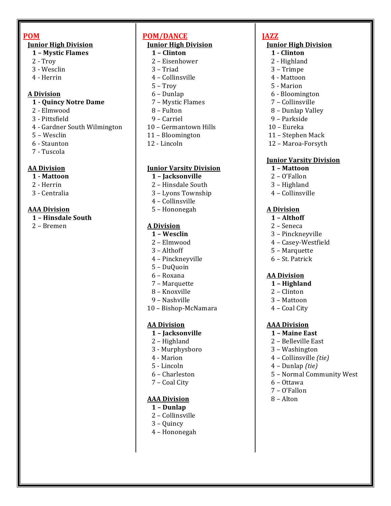#### **POM**

#### **Junior High Division**

- **1 – Mystic Flames**
- $2 Trow$
- 3 - Wesclin
- 4 - Herrin

#### **A Division**

#### **1 - Quincy Notre Dame**

- 2 - Elmwood
- 3 - Pittsfield
- 4 Gardner South Wilmington
- 5 – Wesclin
- 6 - Staunton
- 7 Tuscola

#### **AA Division**

- **1 - Mattoon**
- 2 - Herrin
- 3 - Centralia

#### **AAA Division**

- **1 – Hinsdale South**
- 2 – Bremen

# **POM/DANCE**

# **Junior High Division**

- **1 – Clinton**
- 2 Eisenhower
- $3$  Triad
- 4 – Collinsville
- $5 Trow$
- 6 – Dunlap
- 7 Mystic Flames
- 8 – Fulton
- 9 – Carriel
- 10 Germantown Hills
- 11 – Bloomington
- 12 - Lincoln

#### **Junior Varsity Division**

- **1 – Jacksonville**
- 2 Hinsdale South
- 3 Lyons Township
- 4 Collinsville
- 5 – Hononegah

#### **A Division**

- **1 – Wesclin**
- 2 – Elmwood
- 3 Althoff
- 4 – Pinckneyville
- 5 – DuQuoin
- 6 – Roxana
- 7 – Marquette
- 8 – Knoxville
- 9 Nashville
- 10 Bishop-McNamara

#### **AA Division**

- **1 – Jacksonville**
- 2 Highland
- 3 - Murphysboro
- 4 Marion
- 5 - Lincoln
- 6 – Charleston
- 7 Coal City

#### **AAA Division**

- **1 – Dunlap**
- 2 Collinsville
- 3 – Quincy
- 4 – Hononegah

# **JAZZ**

# **Junior High Division**

- **1 - Clinton**
- 2 Highland
- 3 – Trimpe
- 4 - Mattoon
- 5 - Marion
- 6 - Bloomington
- 7 – Collinsville
- 8 Dunlap Valley
- 9 – Parkside
- 10 – Eureka
- 11 Stephen Mack
- 12 Maroa-Forsyth

#### **Junior Varsity Division**

- **1 – Mattoon**
- 2 – O'Fallon
- 3 – Highland
- 4 Collinsville

#### **A Division**

- **1 – Althoff**
- 2 Seneca
- 3 Pinckneyville
- 4 – Casey-Westfield
- 5 – Marquette
- 6 – St. Patrick

#### **AA Division**

- **1 – Highland**
- 2 – Clinton
- 3 – Mattoon
- 4 Coal City

#### **AAA Division**

- **1 – Maine East**
- 2 Belleville East
- 3 – Washington 4 – Collinsville *(tie)*

4 – Dunlap *(tie)*

6 – Ottawa 7 – O'Fallon 8 – Alton 

5 - Normal Community West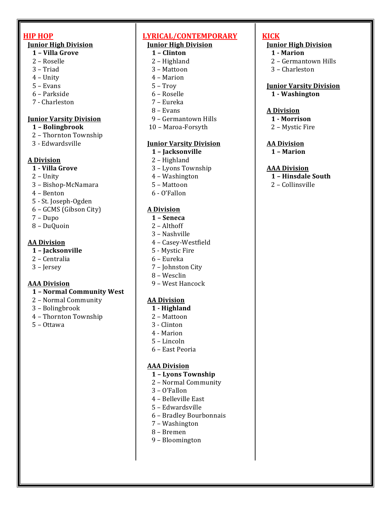# **HIP HOP**

#### **Junior High Division**

- **1 – Villa Grove**
- 2 Roselle
- 3 – Triad
- $4$  Unity
- $5 Evans$
- 6 – Parkside
- 7 - Charleston

#### *<u>Iunior Varsity Division</u>*

- **1 – Bolingbrook**
- 2 Thornton Township
- 3 - Edwardsville

# **A Division**

- **1 - Villa Grove**
- $2$  Unity
- 3 – Bishop-McNamara
- 4 – Benton
- 5 - St. Joseph-Ogden
- 6 GCMS (Gibson City)
- 7 Dupo
- 8 – DuQuoin

# **AA Division**

#### **1 – Jacksonville**

- 2 – Centralia
- 3 – Jersey

# **AAA Division**

- **1 – Normal Community West**
- 2 Normal Community
- 3 – Bolingbrook
- 4 – Thornton Township
- 5 – Ottawa

#### **LYRICAL/CONTEMPORARY Junior High Division**

# **1 – Clinton**

- 2 Highland
- 3 – Mattoon
- 4 – Marion
- $5 Trow$
- 6 – Roselle
- 7 Eureka
- 8 – Evans
- 9 Germantown Hills
- 10 Maroa-Forsyth

#### **Junior Varsity Division**

- **1 – Jacksonville**
- 2 Highland
- 3 Lyons Township
- 4 Washington
- 5 – Mattoon
- 6 - O'Fallon

# **A Division**

- **1 – Seneca**
- 2 Althoff
- 3 – Nashville
- 4 – Casey-Westfield
- 5 Mystic Fire
- 6 – Eureka
- 7 Johnston City
- 8 – Wesclin
- 9 – West Hancock

#### **AA Division**

- **1 - Highland**
- 2 Mattoon
- 3 - Clinton
- 4 - Marion
- 5 – Lincoln
- 6 – East Peoria

#### **AAA Division**

- **1 – Lyons Township**
- 2 Normal Community
- $3 0'$ Fallon
- 4 Belleville East
- 5 – Edwardsville
- 6 – Bradley Bourbonnais
- 7 – Washington
- 8 – Bremen
- 9 – Bloomington

# **KICK**

# **Junior High Division**

- **1 - Marion**
- 2 Germantown Hills
- 3 – Charleston

#### **Junior Varsity Division 1 - Washington**

#### **A Division**

- **1 - Morrison**
- 2 Mystic Fire

#### **AA Division**

**1 – Marion**

#### **AAA Division**

- **1 – Hinsdale South**
- $2 -$  Collinsville